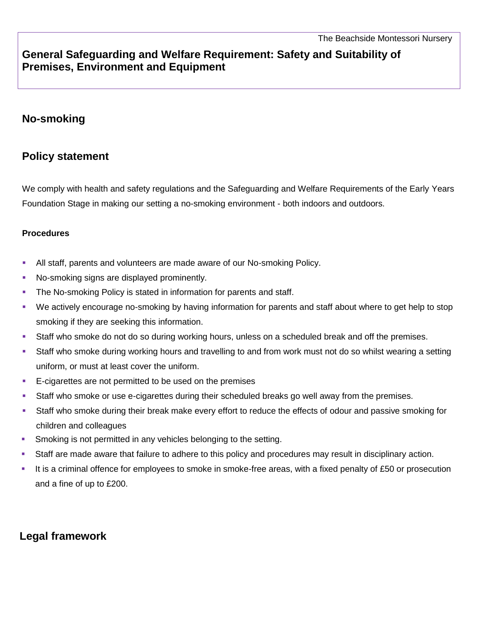# **General Safeguarding and Welfare Requirement: Safety and Suitability of Premises, Environment and Equipment**

### **No-smoking**

## **Policy statement**

We comply with health and safety regulations and the Safeguarding and Welfare Requirements of the Early Years Foundation Stage in making our setting a no-smoking environment - both indoors and outdoors.

#### **Procedures**

- All staff, parents and volunteers are made aware of our No-smoking Policy.
- No-smoking signs are displayed prominently.
- **The No-smoking Policy is stated in information for parents and staff.**
- We actively encourage no-smoking by having information for parents and staff about where to get help to stop smoking if they are seeking this information.
- Staff who smoke do not do so during working hours, unless on a scheduled break and off the premises.
- Staff who smoke during working hours and travelling to and from work must not do so whilst wearing a setting uniform, or must at least cover the uniform.
- **E-cigarettes are not permitted to be used on the premises**
- Staff who smoke or use e-cigarettes during their scheduled breaks go well away from the premises.
- Staff who smoke during their break make every effort to reduce the effects of odour and passive smoking for children and colleagues
- **Smoking is not permitted in any vehicles belonging to the setting.**
- Staff are made aware that failure to adhere to this policy and procedures may result in disciplinary action.
- It is a criminal offence for employees to smoke in smoke-free areas, with a fixed penalty of £50 or prosecution and a fine of up to £200.

# **Legal framework**